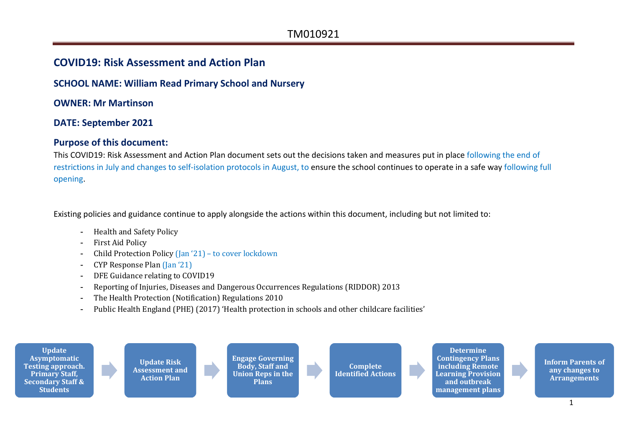#### **COVID19: Risk Assessment and Action Plan**

#### **SCHOOL NAME: William Read Primary School and Nursery**

**OWNER: Mr Martinson**

#### **DATE: September 2021**

#### **Purpose of this document:**

This COVID19: Risk Assessment and Action Plan document sets out the decisions taken and measures put in place following the end of restrictions in July and changes to self-isolation protocols in August, to ensure the school continues to operate in a safe way following full opening.

Existing policies and guidance continue to apply alongside the actions within this document, including but not limited to:

- Health and Safety Policy
- First Aid Policy
- Child Protection Policy (Jan '21) to cover lockdown
- CYP Response Plan (Jan '21)
- DFE Guidance relating to COVID19
- Reporting of Injuries, Diseases and Dangerous Occurrences Regulations (RIDDOR) 2013
- The Health Protection (Notification) Regulations 2010
- Public Health England (PHE) (2017) 'Health protection in schools and other childcare facilities'

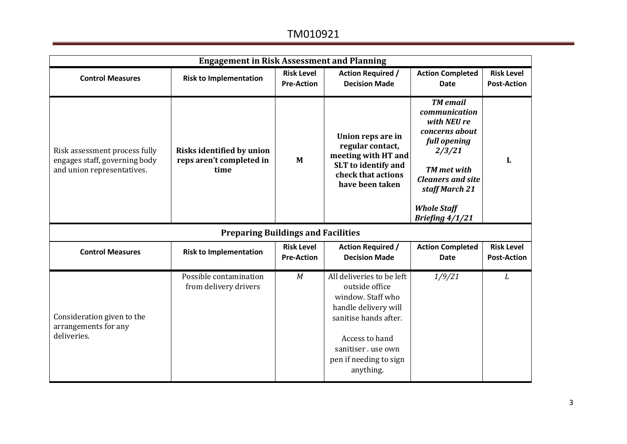| <b>Engagement in Risk Assessment and Planning</b>                                            |                                                                      |                                        |                                                                                                                                                                                                 |                                                                                                                                                                                                            |                                         |  |  |
|----------------------------------------------------------------------------------------------|----------------------------------------------------------------------|----------------------------------------|-------------------------------------------------------------------------------------------------------------------------------------------------------------------------------------------------|------------------------------------------------------------------------------------------------------------------------------------------------------------------------------------------------------------|-----------------------------------------|--|--|
| <b>Control Measures</b>                                                                      | <b>Risk to Implementation</b>                                        | <b>Risk Level</b><br><b>Pre-Action</b> | <b>Action Required /</b><br><b>Decision Made</b>                                                                                                                                                | <b>Action Completed</b><br><b>Date</b>                                                                                                                                                                     | <b>Risk Level</b><br><b>Post-Action</b> |  |  |
| Risk assessment process fully<br>engages staff, governing body<br>and union representatives. | <b>Risks identified by union</b><br>reps aren't completed in<br>time | M                                      | Union reps are in<br>regular contact,<br>meeting with HT and<br>SLT to identify and<br>check that actions<br>have been taken                                                                    | <b>TM</b> email<br>communication<br>with NEU re<br>concerns about<br>full opening<br>2/3/21<br><b>TM</b> met with<br><b>Cleaners and site</b><br>staff March 21<br><b>Whole Staff</b><br>Briefing $4/1/21$ | L                                       |  |  |
|                                                                                              | <b>Preparing Buildings and Facilities</b>                            |                                        |                                                                                                                                                                                                 |                                                                                                                                                                                                            |                                         |  |  |
| <b>Control Measures</b>                                                                      | <b>Risk to Implementation</b>                                        | <b>Risk Level</b><br><b>Pre-Action</b> | <b>Action Required /</b><br><b>Decision Made</b>                                                                                                                                                | <b>Action Completed</b><br><b>Date</b>                                                                                                                                                                     | <b>Risk Level</b><br><b>Post-Action</b> |  |  |
| Consideration given to the<br>arrangements for any<br>deliveries.                            | Possible contamination<br>from delivery drivers                      | M                                      | All deliveries to be left<br>outside office<br>window. Staff who<br>handle delivery will<br>sanitise hands after.<br>Access to hand<br>sanitiser.use own<br>pen if needing to sign<br>anything. | 1/9/21                                                                                                                                                                                                     | L                                       |  |  |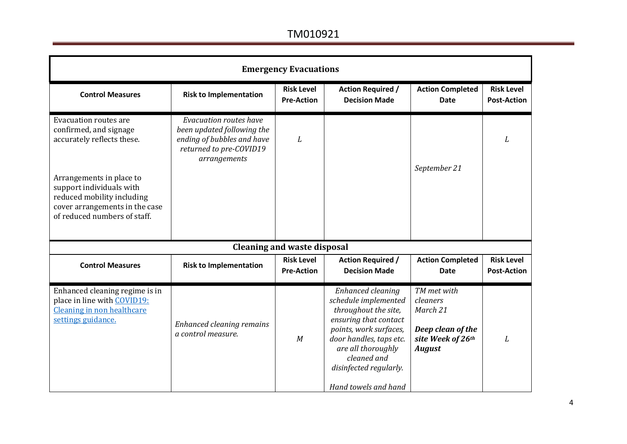| <b>Emergency Evacuations</b>                                                                                                                                                                                                                 |                                                                                                                               |                                        |                                                                                                                                                                                                                                        |                                                                                                |                                         |  |  |
|----------------------------------------------------------------------------------------------------------------------------------------------------------------------------------------------------------------------------------------------|-------------------------------------------------------------------------------------------------------------------------------|----------------------------------------|----------------------------------------------------------------------------------------------------------------------------------------------------------------------------------------------------------------------------------------|------------------------------------------------------------------------------------------------|-----------------------------------------|--|--|
| <b>Control Measures</b>                                                                                                                                                                                                                      | <b>Risk to Implementation</b>                                                                                                 | <b>Risk Level</b><br><b>Pre-Action</b> | <b>Action Required /</b><br><b>Decision Made</b>                                                                                                                                                                                       | <b>Action Completed</b><br><b>Date</b>                                                         | <b>Risk Level</b><br><b>Post-Action</b> |  |  |
| <b>Evacuation routes are</b><br>confirmed, and signage<br>accurately reflects these.<br>Arrangements in place to<br>support individuals with<br>reduced mobility including<br>cover arrangements in the case<br>of reduced numbers of staff. | Evacuation routes have<br>been updated following the<br>ending of bubbles and have<br>returned to pre-COVID19<br>arrangements | L                                      |                                                                                                                                                                                                                                        | September 21                                                                                   | L                                       |  |  |
|                                                                                                                                                                                                                                              |                                                                                                                               | <b>Cleaning and waste disposal</b>     |                                                                                                                                                                                                                                        |                                                                                                |                                         |  |  |
| <b>Control Measures</b>                                                                                                                                                                                                                      | <b>Risk to Implementation</b>                                                                                                 | <b>Risk Level</b><br><b>Pre-Action</b> | <b>Action Required /</b><br><b>Decision Made</b>                                                                                                                                                                                       | <b>Action Completed</b><br><b>Date</b>                                                         | <b>Risk Level</b><br><b>Post-Action</b> |  |  |
| Enhanced cleaning regime is in<br>place in line with COVID19:<br>Cleaning in non healthcare<br>settings guidance.                                                                                                                            | Enhanced cleaning remains<br>a control measure.                                                                               | M                                      | Enhanced cleaning<br>schedule implemented<br>throughout the site,<br>ensuring that contact<br>points, work surfaces,<br>door handles, taps etc.<br>are all thoroughly<br>cleaned and<br>disinfected regularly.<br>Hand towels and hand | TM met with<br>cleaners<br>March 21<br>Deep clean of the<br>site Week of 26th<br><b>August</b> | L                                       |  |  |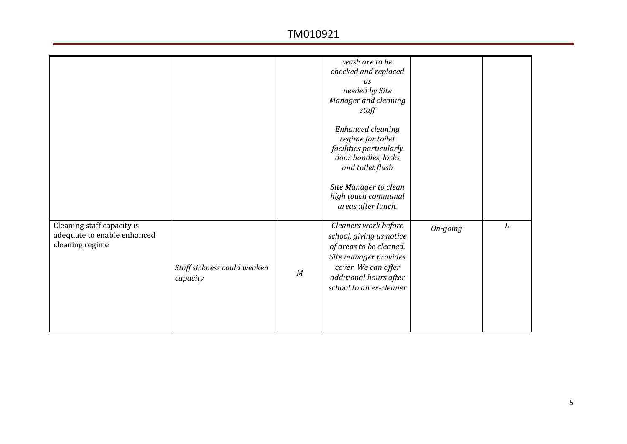|                                                                               |                                         |   | wash are to be<br>checked and replaced<br>as<br>needed by Site<br>Manager and cleaning<br>staff<br>Enhanced cleaning<br>regime for toilet<br>facilities particularly<br>door handles, locks<br>and toilet flush<br>Site Manager to clean<br>high touch communal<br>areas after lunch. |          |   |
|-------------------------------------------------------------------------------|-----------------------------------------|---|---------------------------------------------------------------------------------------------------------------------------------------------------------------------------------------------------------------------------------------------------------------------------------------|----------|---|
| Cleaning staff capacity is<br>adequate to enable enhanced<br>cleaning regime. | Staff sickness could weaken<br>capacity | M | Cleaners work before<br>school, giving us notice<br>of areas to be cleaned.<br>Site manager provides<br>cover. We can offer<br>additional hours after<br>school to an ex-cleaner                                                                                                      | On-going | L |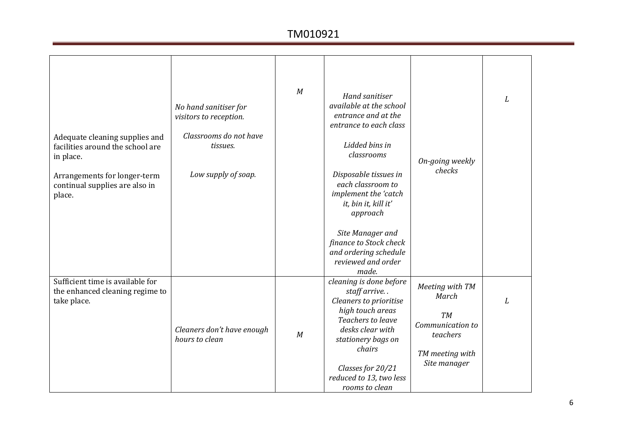| Adequate cleaning supplies and<br>facilities around the school are<br>in place.<br>Arrangements for longer-term<br>continual supplies are also in<br>place. | No hand sanitiser for<br>visitors to reception.<br>Classrooms do not have<br>tissues.<br>Low supply of soap. | M | <b>Hand sanitiser</b><br>available at the school<br>entrance and at the<br>entrance to each class<br>Lidded bins in<br>classrooms<br>Disposable tissues in<br>each classroom to<br>implement the 'catch<br>it, bin it, kill it'<br>approach<br>Site Manager and<br>finance to Stock check<br>and ordering schedule<br>reviewed and order<br>made. | On-going weekly<br>checks                                                                                | L |
|-------------------------------------------------------------------------------------------------------------------------------------------------------------|--------------------------------------------------------------------------------------------------------------|---|---------------------------------------------------------------------------------------------------------------------------------------------------------------------------------------------------------------------------------------------------------------------------------------------------------------------------------------------------|----------------------------------------------------------------------------------------------------------|---|
| Sufficient time is available for<br>the enhanced cleaning regime to<br>take place.                                                                          | Cleaners don't have enough<br>hours to clean                                                                 | M | cleaning is done before<br>staff arrive<br><b>Cleaners to prioritise</b><br>high touch areas<br>Teachers to leave<br>desks clear with<br>stationery bags on<br>chairs<br>Classes for 20/21<br>reduced to 13, two less<br>rooms to clean                                                                                                           | Meeting with TM<br>March<br><b>TM</b><br>Communication to<br>teachers<br>TM meeting with<br>Site manager | L |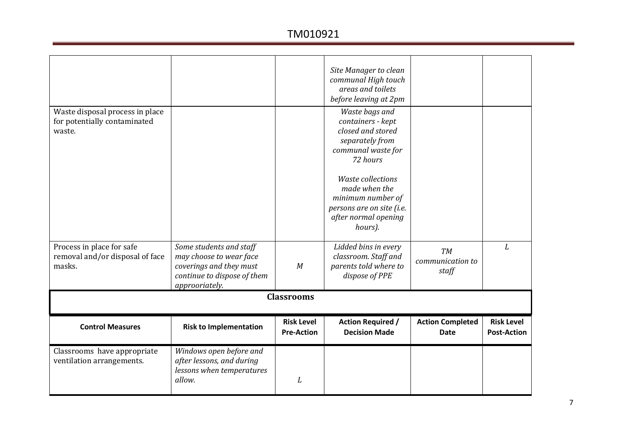|                                                                           |                                                                                                                                |                   | Site Manager to clean                                                                                                                                      |                                        |                    |
|---------------------------------------------------------------------------|--------------------------------------------------------------------------------------------------------------------------------|-------------------|------------------------------------------------------------------------------------------------------------------------------------------------------------|----------------------------------------|--------------------|
|                                                                           |                                                                                                                                |                   | communal High touch<br>areas and toilets                                                                                                                   |                                        |                    |
|                                                                           |                                                                                                                                |                   | before leaving at 2pm                                                                                                                                      |                                        |                    |
| Waste disposal process in place<br>for potentially contaminated<br>waste. |                                                                                                                                |                   | Waste bags and<br>containers - kept<br>closed and stored<br>separately from<br>communal waste for<br>72 hours<br><b>Waste collections</b><br>made when the |                                        |                    |
|                                                                           |                                                                                                                                |                   | minimum number of<br>persons are on site (i.e.                                                                                                             |                                        |                    |
|                                                                           |                                                                                                                                |                   | after normal opening<br>hours).                                                                                                                            |                                        |                    |
| Process in place for safe<br>removal and/or disposal of face<br>masks.    | Some students and staff<br>may choose to wear face<br>coverings and they must<br>continue to dispose of them<br>approoriately. | M                 | Lidded bins in every<br>classroom. Staff and<br>parents told where to<br>dispose of PPE                                                                    | <b>TM</b><br>communication to<br>staff | L                  |
|                                                                           |                                                                                                                                | <b>Classrooms</b> |                                                                                                                                                            |                                        |                    |
|                                                                           |                                                                                                                                | <b>Risk Level</b> |                                                                                                                                                            |                                        | <b>Risk Level</b>  |
| <b>Control Measures</b>                                                   | <b>Risk to Implementation</b>                                                                                                  | <b>Pre-Action</b> | <b>Action Required /</b><br><b>Decision Made</b>                                                                                                           | <b>Action Completed</b><br>Date        | <b>Post-Action</b> |
|                                                                           |                                                                                                                                |                   |                                                                                                                                                            |                                        |                    |
| Classrooms have appropriate<br>ventilation arrangements.                  | Windows open before and<br>after lessons, and during<br>lessons when temperatures<br>allow.                                    | L                 |                                                                                                                                                            |                                        |                    |
|                                                                           |                                                                                                                                |                   |                                                                                                                                                            |                                        |                    |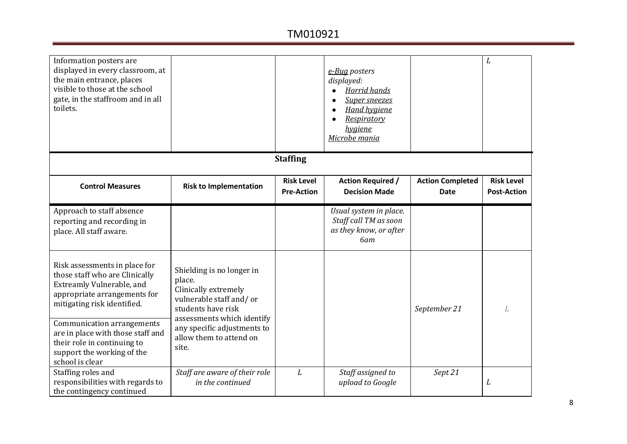| Information posters are<br>displayed in every classroom, at<br>the main entrance, places<br>visible to those at the school<br>gate, in the staffroom and in all<br>toilets.                      |                                                                                                                                            |                                        | e-Bug posters<br>displayed:<br><b>Horrid hands</b><br><b>Super sneezes</b><br><b>Hand hygiene</b><br>Respiratory<br>hygiene<br>Microbe mania |                                        | L                                       |
|--------------------------------------------------------------------------------------------------------------------------------------------------------------------------------------------------|--------------------------------------------------------------------------------------------------------------------------------------------|----------------------------------------|----------------------------------------------------------------------------------------------------------------------------------------------|----------------------------------------|-----------------------------------------|
|                                                                                                                                                                                                  |                                                                                                                                            | <b>Staffing</b>                        |                                                                                                                                              |                                        |                                         |
| <b>Control Measures</b>                                                                                                                                                                          | <b>Risk to Implementation</b>                                                                                                              | <b>Risk Level</b><br><b>Pre-Action</b> | <b>Action Required /</b><br><b>Decision Made</b>                                                                                             | <b>Action Completed</b><br><b>Date</b> | <b>Risk Level</b><br><b>Post-Action</b> |
| Approach to staff absence<br>reporting and recording in<br>place. All staff aware.                                                                                                               |                                                                                                                                            |                                        | Usual system in place.<br>Staff call TM as soon<br>as they know, or after<br>6am                                                             |                                        |                                         |
| Risk assessments in place for<br>those staff who are Clinically<br>Extreamly Vulnerable, and<br>appropriate arrangements for<br>mitigating risk identified.<br><b>Communication arrangements</b> | Shielding is no longer in<br>place.<br>Clinically extremely<br>vulnerable staff and/or<br>students have risk<br>assessments which identify |                                        |                                                                                                                                              | September 21                           | L                                       |
| are in place with those staff and<br>their role in continuing to<br>support the working of the<br>school is clear                                                                                | any specific adjustments to<br>allow them to attend on<br>site.                                                                            |                                        |                                                                                                                                              |                                        |                                         |
| Staffing roles and<br>responsibilities with regards to<br>the contingency continued                                                                                                              | Staff are aware of their role<br>in the continued                                                                                          | L                                      | Staff assigned to<br>upload to Google                                                                                                        | Sept 21                                | L                                       |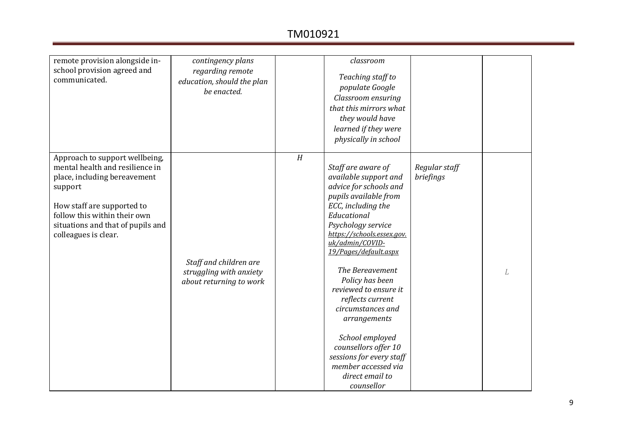| remote provision alongside in-<br>school provision agreed and<br>communicated.                                                                                                                                                          | contingency plans<br>regarding remote<br>education, should the plan<br>be enacted. |   | classroom<br>Teaching staff to<br>populate Google<br>Classroom ensuring<br>that this mirrors what<br>they would have<br>learned if they were<br>physically in school                                                                                                                                                                                                                                                                                                                       |                            |  |
|-----------------------------------------------------------------------------------------------------------------------------------------------------------------------------------------------------------------------------------------|------------------------------------------------------------------------------------|---|--------------------------------------------------------------------------------------------------------------------------------------------------------------------------------------------------------------------------------------------------------------------------------------------------------------------------------------------------------------------------------------------------------------------------------------------------------------------------------------------|----------------------------|--|
| Approach to support wellbeing,<br>mental health and resilience in<br>place, including bereavement<br>support<br>How staff are supported to<br>follow this within their own<br>situations and that of pupils and<br>colleagues is clear. | Staff and children are<br>struggling with anxiety<br>about returning to work       | H | Staff are aware of<br>available support and<br>advice for schools and<br>pupils available from<br>ECC, including the<br>Educational<br>Psychology service<br>https://schools.essex.gov.<br>uk/admin/COVID-<br>19/Pages/default.aspx<br>The Bereavement<br>Policy has been<br>reviewed to ensure it<br>reflects current<br>circumstances and<br>arrangements<br>School employed<br>counsellors offer 10<br>sessions for every staff<br>member accessed via<br>direct email to<br>counsellor | Regular staff<br>briefings |  |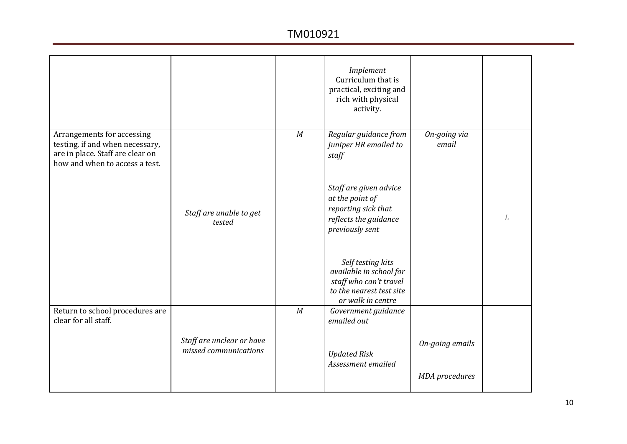|                                                                                                                                     |                                                    |   | Implement<br>Curriculum that is<br>practical, exciting and<br>rich with physical<br>activity.                           |                       |   |
|-------------------------------------------------------------------------------------------------------------------------------------|----------------------------------------------------|---|-------------------------------------------------------------------------------------------------------------------------|-----------------------|---|
| Arrangements for accessing<br>testing, if and when necessary,<br>are in place. Staff are clear on<br>how and when to access a test. |                                                    | M | Regular guidance from<br>Juniper HR emailed to<br>staff                                                                 | On-going via<br>email |   |
|                                                                                                                                     | Staff are unable to get<br>tested                  |   | Staff are given advice<br>at the point of<br>reporting sick that<br>reflects the guidance<br>previously sent            |                       | L |
|                                                                                                                                     |                                                    |   | Self testing kits<br>available in school for<br>staff who can't travel<br>to the nearest test site<br>or walk in centre |                       |   |
| Return to school procedures are<br>clear for all staff.                                                                             |                                                    | M | Government guidance<br>emailed out                                                                                      |                       |   |
|                                                                                                                                     | Staff are unclear or have<br>missed communications |   | <b>Updated Risk</b><br>Assessment emailed                                                                               | On-going emails       |   |
|                                                                                                                                     |                                                    |   |                                                                                                                         | <b>MDA</b> procedures |   |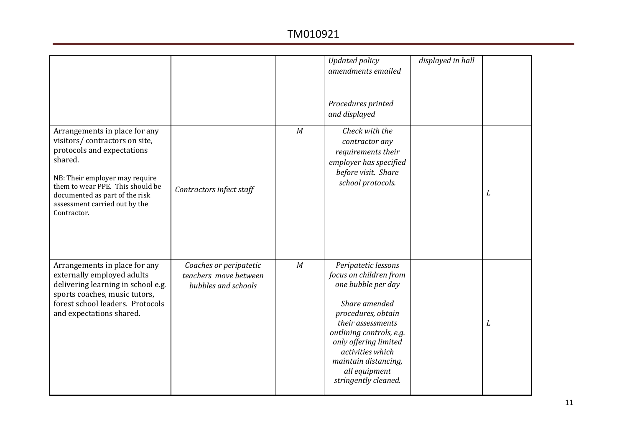|                                                                                                                                                                                                                                                                 |                                                                        |   | <b>Updated policy</b><br>amendments emailed<br>Procedures printed<br>and displayed                                                                                                                                                                                        | displayed in hall |   |
|-----------------------------------------------------------------------------------------------------------------------------------------------------------------------------------------------------------------------------------------------------------------|------------------------------------------------------------------------|---|---------------------------------------------------------------------------------------------------------------------------------------------------------------------------------------------------------------------------------------------------------------------------|-------------------|---|
| Arrangements in place for any<br>visitors/contractors on site,<br>protocols and expectations<br>shared.<br>NB: Their employer may require<br>them to wear PPE. This should be<br>documented as part of the risk<br>assessment carried out by the<br>Contractor. | Contractors infect staff                                               | M | Check with the<br>contractor any<br>requirements their<br>employer has specified<br>before visit. Share<br>school protocols.                                                                                                                                              |                   | L |
| Arrangements in place for any<br>externally employed adults<br>delivering learning in school e.g.<br>sports coaches, music tutors,<br>forest school leaders. Protocols<br>and expectations shared.                                                              | Coaches or peripatetic<br>teachers move between<br>bubbles and schools | M | Peripatetic lessons<br>focus on children from<br>one bubble per day<br>Share amended<br>procedures, obtain<br>their assessments<br>outlining controls, e.g.<br>only offering limited<br>activities which<br>maintain distancing,<br>all equipment<br>stringently cleaned. |                   | L |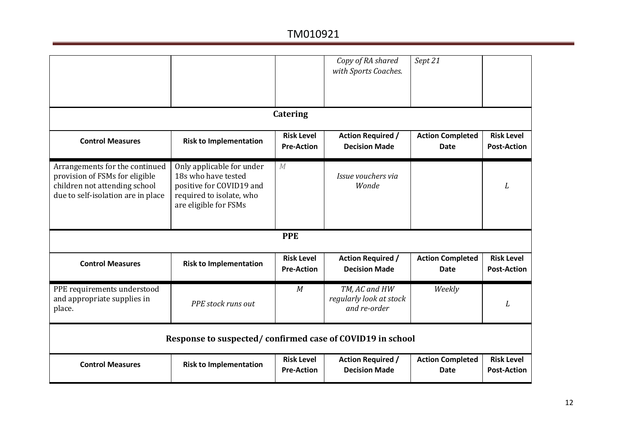|                                                                                                                                         |                                                                                                                                   |                                        | Copy of RA shared<br>with Sports Coaches.                | Sept 21                                |                                         |
|-----------------------------------------------------------------------------------------------------------------------------------------|-----------------------------------------------------------------------------------------------------------------------------------|----------------------------------------|----------------------------------------------------------|----------------------------------------|-----------------------------------------|
|                                                                                                                                         |                                                                                                                                   | <b>Catering</b>                        |                                                          |                                        |                                         |
| <b>Control Measures</b>                                                                                                                 | <b>Risk to Implementation</b>                                                                                                     | <b>Risk Level</b><br><b>Pre-Action</b> | <b>Action Required /</b><br><b>Decision Made</b>         | <b>Action Completed</b><br>Date        | <b>Risk Level</b><br><b>Post-Action</b> |
| Arrangements for the continued<br>provision of FSMs for eligible<br>children not attending school<br>due to self-isolation are in place | Only applicable for under<br>18s who have tested<br>positive for COVID19 and<br>required to isolate, who<br>are eligible for FSMs | M                                      | Issue vouchers via<br>Wonde                              |                                        | L                                       |
|                                                                                                                                         |                                                                                                                                   | <b>PPE</b>                             |                                                          |                                        |                                         |
| <b>Control Measures</b>                                                                                                                 | <b>Risk to Implementation</b>                                                                                                     | <b>Risk Level</b><br><b>Pre-Action</b> | <b>Action Required /</b><br><b>Decision Made</b>         | <b>Action Completed</b><br><b>Date</b> | <b>Risk Level</b><br><b>Post-Action</b> |
| PPE requirements understood<br>and appropriate supplies in<br>place.                                                                    | PPE stock runs out                                                                                                                | M                                      | TM, AC and HW<br>regularly look at stock<br>and re-order | Weekly                                 | L                                       |
|                                                                                                                                         | Response to suspected/confirmed case of COVID19 in school                                                                         |                                        |                                                          |                                        |                                         |
| <b>Control Measures</b>                                                                                                                 | <b>Risk to Implementation</b>                                                                                                     | <b>Risk Level</b><br><b>Pre-Action</b> | <b>Action Required /</b><br><b>Decision Made</b>         | <b>Action Completed</b><br><b>Date</b> | <b>Risk Level</b><br><b>Post-Action</b> |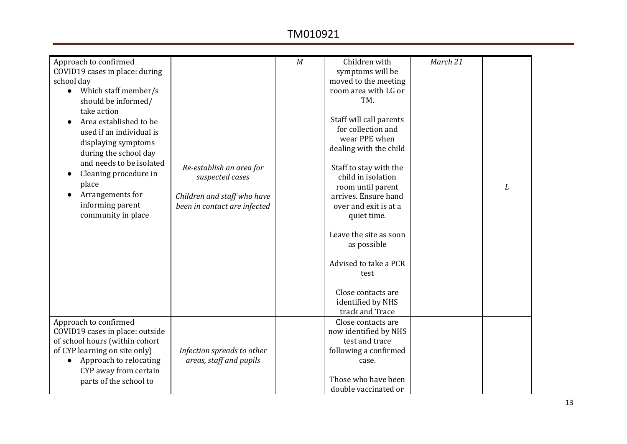| Approach to confirmed<br>COVID19 cases in place: during<br>school day<br>Which staff member/s<br>$\bullet$<br>should be informed/<br>take action<br>Area established to be |                                                                            | M | Children with<br>symptoms will be<br>moved to the meeting<br>room area with LG or<br>TM.<br>Staff will call parents | March 21 |   |
|----------------------------------------------------------------------------------------------------------------------------------------------------------------------------|----------------------------------------------------------------------------|---|---------------------------------------------------------------------------------------------------------------------|----------|---|
| used if an individual is<br>displaying symptoms<br>during the school day<br>and needs to be isolated                                                                       |                                                                            |   | for collection and<br>wear PPE when<br>dealing with the child                                                       |          |   |
| Cleaning procedure in<br>place<br>Arrangements for                                                                                                                         | Re-establish an area for<br>suspected cases<br>Children and staff who have |   | Staff to stay with the<br>child in isolation<br>room until parent<br>arrives. Ensure hand                           |          | L |
| informing parent<br>community in place                                                                                                                                     | been in contact are infected                                               |   | over and exit is at a<br>quiet time.<br>Leave the site as soon                                                      |          |   |
|                                                                                                                                                                            |                                                                            |   | as possible<br>Advised to take a PCR                                                                                |          |   |
|                                                                                                                                                                            |                                                                            |   | test<br>Close contacts are<br>identified by NHS                                                                     |          |   |
|                                                                                                                                                                            |                                                                            |   | track and Trace                                                                                                     |          |   |
| Approach to confirmed<br>COVID19 cases in place: outside<br>of school hours (within cohort                                                                                 |                                                                            |   | Close contacts are<br>now identified by NHS<br>test and trace                                                       |          |   |
| of CYP learning on site only)<br>Approach to relocating<br>CYP away from certain                                                                                           | Infection spreads to other<br>areas, staff and pupils                      |   | following a confirmed<br>case.                                                                                      |          |   |
| parts of the school to                                                                                                                                                     |                                                                            |   | Those who have been<br>double vaccinated or                                                                         |          |   |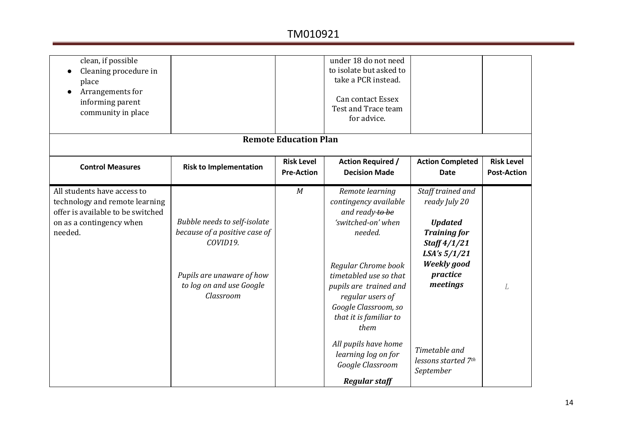| clean, if possible<br>Cleaning procedure in<br>place<br>Arrangements for<br>informing parent<br>community in place                        |                                                                                                                                                 |                                        | under 18 do not need<br>to isolate but asked to<br>take a PCR instead.<br><b>Can contact Essex</b><br>Test and Trace team<br>for advice.                                                                                                                                                             |                                                                                                                                                                            |                                         |
|-------------------------------------------------------------------------------------------------------------------------------------------|-------------------------------------------------------------------------------------------------------------------------------------------------|----------------------------------------|------------------------------------------------------------------------------------------------------------------------------------------------------------------------------------------------------------------------------------------------------------------------------------------------------|----------------------------------------------------------------------------------------------------------------------------------------------------------------------------|-----------------------------------------|
|                                                                                                                                           |                                                                                                                                                 | <b>Remote Education Plan</b>           |                                                                                                                                                                                                                                                                                                      |                                                                                                                                                                            |                                         |
| <b>Control Measures</b>                                                                                                                   | <b>Risk to Implementation</b>                                                                                                                   | <b>Risk Level</b><br><b>Pre-Action</b> | <b>Action Required /</b><br><b>Decision Made</b>                                                                                                                                                                                                                                                     | <b>Action Completed</b><br><b>Date</b>                                                                                                                                     | <b>Risk Level</b><br><b>Post-Action</b> |
| All students have access to<br>technology and remote learning<br>offer is available to be switched<br>on as a contingency when<br>needed. | Bubble needs to self-isolate<br>because of a positive case of<br>COVID19.<br>Pupils are unaware of how<br>to log on and use Google<br>Classroom | M                                      | Remote learning<br>contingency available<br>and ready to be<br>'switched-on' when<br>needed.<br>Regular Chrome book<br>timetabled use so that<br>pupils are trained and<br>regular users of<br>Google Classroom, so<br>that it is familiar to<br>them<br>All pupils have home<br>learning log on for | Staff trained and<br>ready July 20<br><b>Updated</b><br><b>Training for</b><br>Staff 4/1/21<br>LSA's 5/1/21<br><b>Weekly</b> good<br>practice<br>meetings<br>Timetable and | L                                       |
|                                                                                                                                           |                                                                                                                                                 |                                        | Google Classroom<br><b>Regular staff</b>                                                                                                                                                                                                                                                             | lessons started 7th<br>September                                                                                                                                           |                                         |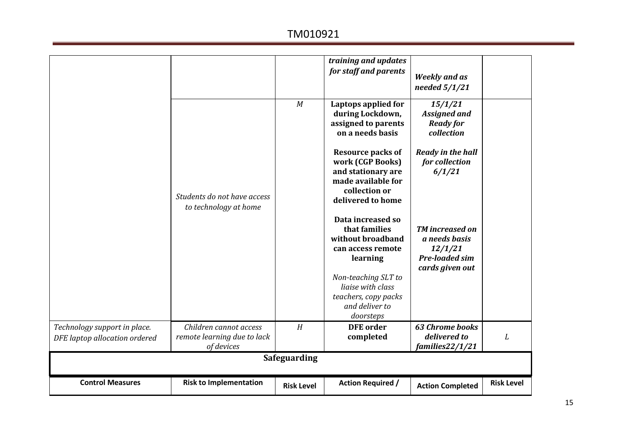|                                                               |                                                                     |                   | training and updates<br>for staff and parents                                                                                  | <b>Weekly and as</b><br>needed $5/1/21$                                                        |                   |  |  |
|---------------------------------------------------------------|---------------------------------------------------------------------|-------------------|--------------------------------------------------------------------------------------------------------------------------------|------------------------------------------------------------------------------------------------|-------------------|--|--|
|                                                               |                                                                     | M                 | Laptops applied for<br>during Lockdown,<br>assigned to parents<br>on a needs basis                                             | 15/1/21<br><b>Assigned and</b><br><b>Ready for</b><br>collection                               |                   |  |  |
|                                                               | Students do not have access<br>to technology at home                |                   | <b>Resource packs of</b><br>work (CGP Books)<br>and stationary are<br>made available for<br>collection or<br>delivered to home | <b>Ready in the hall</b><br>for collection<br>6/1/21                                           |                   |  |  |
|                                                               |                                                                     |                   | Data increased so<br>that families<br>without broadband<br>can access remote<br>learning                                       | <b>TM</b> increased on<br>a needs basis<br>12/1/21<br><b>Pre-loaded sim</b><br>cards given out |                   |  |  |
|                                                               |                                                                     |                   | Non-teaching SLT to<br>liaise with class<br>teachers, copy packs<br>and deliver to<br>doorsteps                                |                                                                                                |                   |  |  |
| Technology support in place.<br>DFE laptop allocation ordered | Children cannot access<br>remote learning due to lack<br>of devices | H                 | <b>DFE</b> order<br>completed                                                                                                  | <b>63 Chrome books</b><br>delivered to<br>families22/1/21                                      | L                 |  |  |
| Safeguarding                                                  |                                                                     |                   |                                                                                                                                |                                                                                                |                   |  |  |
| <b>Control Measures</b>                                       | <b>Risk to Implementation</b>                                       | <b>Risk Level</b> | <b>Action Required /</b>                                                                                                       | <b>Action Completed</b>                                                                        | <b>Risk Level</b> |  |  |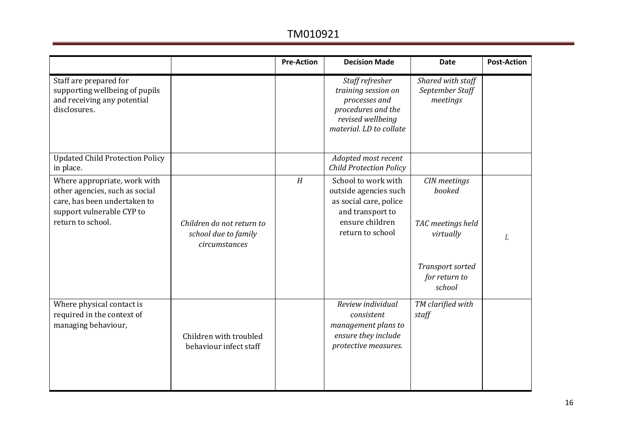|                                                                    | <b>Pre-Action</b> | <b>Decision Made</b>                                                                                                          | Date                                             | <b>Post-Action</b> |
|--------------------------------------------------------------------|-------------------|-------------------------------------------------------------------------------------------------------------------------------|--------------------------------------------------|--------------------|
|                                                                    |                   | Staff refresher<br>training session on<br>processes and<br>procedures and the<br>revised wellbeing<br>material. LD to collate | Shared with staff<br>September Staff<br>meetings |                    |
|                                                                    |                   | Adopted most recent<br><b>Child Protection Policy</b>                                                                         |                                                  |                    |
|                                                                    | H                 | School to work with<br>outside agencies such<br>as social care, police<br>and transport to                                    | CIN meetings<br>booked                           |                    |
| Children do not return to<br>school due to family<br>circumstances |                   | return to school                                                                                                              | TAC meetings held<br>virtually                   | $\mathbb{L}$       |
|                                                                    |                   |                                                                                                                               | Transport sorted<br>for return to<br>school      |                    |
| Children with troubled<br>behaviour infect staff                   |                   | Review individual<br>consistent<br>management plans to<br>ensure they include<br>protective measures.                         | TM clarified with<br>staff                       |                    |
|                                                                    |                   |                                                                                                                               | ensure children                                  |                    |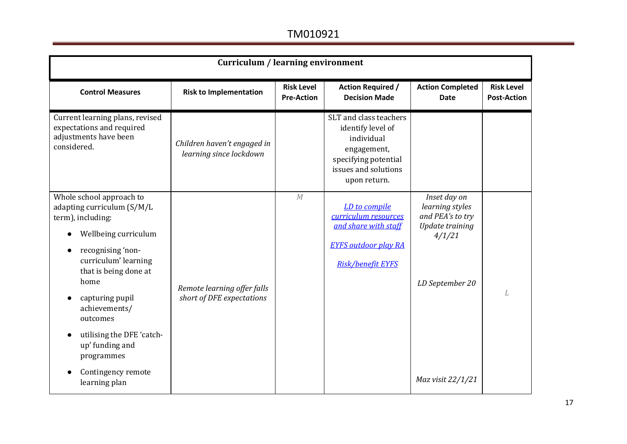| <b>Curriculum / learning environment</b>                                                                                                                                                                                                                                                                              |                                                          |                                        |                                                                                                                                          |                                                                                                     |                                         |  |
|-----------------------------------------------------------------------------------------------------------------------------------------------------------------------------------------------------------------------------------------------------------------------------------------------------------------------|----------------------------------------------------------|----------------------------------------|------------------------------------------------------------------------------------------------------------------------------------------|-----------------------------------------------------------------------------------------------------|-----------------------------------------|--|
| <b>Control Measures</b>                                                                                                                                                                                                                                                                                               | <b>Risk to Implementation</b>                            | <b>Risk Level</b><br><b>Pre-Action</b> | <b>Action Required /</b><br><b>Decision Made</b>                                                                                         | <b>Action Completed</b><br><b>Date</b>                                                              | <b>Risk Level</b><br><b>Post-Action</b> |  |
| Current learning plans, revised<br>expectations and required<br>adjustments have been<br>considered.                                                                                                                                                                                                                  | Children haven't engaged in<br>learning since lockdown   |                                        | SLT and class teachers<br>identify level of<br>individual<br>engagement,<br>specifying potential<br>issues and solutions<br>upon return. |                                                                                                     |                                         |  |
| Whole school approach to<br>adapting curriculum (S/M/L<br>term), including:<br>Wellbeing curriculum<br>recognising 'non-<br>curriculum' learning<br>that is being done at<br>home<br>capturing pupil<br>achievements/<br>outcomes<br>utilising the DFE 'catch-<br>up' funding and<br>programmes<br>Contingency remote | Remote learning offer falls<br>short of DFE expectations | M                                      | LD to compile<br>curriculum resources<br>and share with staff<br><b>EYFS outdoor play RA</b><br><b>Risk/benefit EYFS</b>                 | Inset day on<br>learning styles<br>and PEA's to try<br>Update training<br>4/1/21<br>LD September 20 | L                                       |  |
| learning plan                                                                                                                                                                                                                                                                                                         |                                                          |                                        |                                                                                                                                          | Maz visit 22/1/21                                                                                   |                                         |  |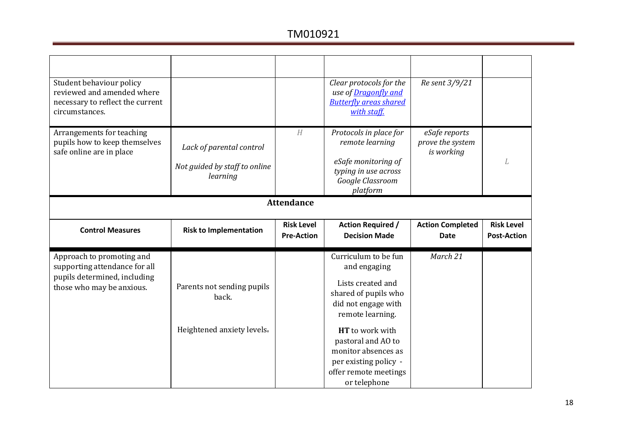| Student behaviour policy<br>reviewed and amended where<br>necessary to reflect the current<br>circumstances.            |                                                                       |                                        | Clear protocols for the<br>use of Dragonfly and<br><b>Butterfly areas shared</b><br>with staff.                              | Re sent 3/9/21                                  |                                         |  |  |
|-------------------------------------------------------------------------------------------------------------------------|-----------------------------------------------------------------------|----------------------------------------|------------------------------------------------------------------------------------------------------------------------------|-------------------------------------------------|-----------------------------------------|--|--|
| Arrangements for teaching<br>pupils how to keep themselves<br>safe online are in place                                  | Lack of parental control<br>Not guided by staff to online<br>learning | H                                      | Protocols in place for<br>remote learning<br>eSafe monitoring of<br>typing in use across<br>Google Classroom<br>platform     | eSafe reports<br>prove the system<br>is working | L                                       |  |  |
| <b>Attendance</b>                                                                                                       |                                                                       |                                        |                                                                                                                              |                                                 |                                         |  |  |
| <b>Control Measures</b>                                                                                                 | <b>Risk to Implementation</b>                                         | <b>Risk Level</b><br><b>Pre-Action</b> | <b>Action Required /</b><br><b>Decision Made</b>                                                                             | <b>Action Completed</b><br><b>Date</b>          | <b>Risk Level</b><br><b>Post-Action</b> |  |  |
| Approach to promoting and<br>supporting attendance for all<br>pupils determined, including<br>those who may be anxious. | Parents not sending pupils<br>back.                                   |                                        | Curriculum to be fun<br>and engaging<br>Lists created and<br>shared of pupils who<br>did not engage with<br>remote learning. | March 21                                        |                                         |  |  |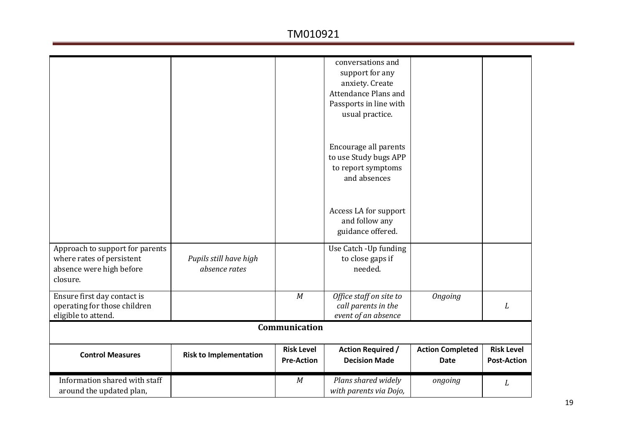| Approach to support for parents                                                    |                                         |                                        | conversations and<br>support for any<br>anxiety. Create<br>Attendance Plans and<br>Passports in line with<br>usual practice.<br>Encourage all parents<br>to use Study bugs APP<br>to report symptoms<br>and absences<br>Access LA for support<br>and follow any<br>guidance offered.<br>Use Catch - Up funding |                                        |                                         |
|------------------------------------------------------------------------------------|-----------------------------------------|----------------------------------------|----------------------------------------------------------------------------------------------------------------------------------------------------------------------------------------------------------------------------------------------------------------------------------------------------------------|----------------------------------------|-----------------------------------------|
| where rates of persistent<br>absence were high before<br>closure.                  | Pupils still have high<br>absence rates |                                        | to close gaps if<br>needed.                                                                                                                                                                                                                                                                                    |                                        |                                         |
| Ensure first day contact is<br>operating for those children<br>eligible to attend. |                                         | M                                      | Office staff on site to<br>call parents in the<br>event of an absence                                                                                                                                                                                                                                          | <b>Ongoing</b>                         | L                                       |
|                                                                                    |                                         | Communication                          |                                                                                                                                                                                                                                                                                                                |                                        |                                         |
| <b>Control Measures</b>                                                            | <b>Risk to Implementation</b>           | <b>Risk Level</b><br><b>Pre-Action</b> | <b>Action Required /</b><br><b>Decision Made</b>                                                                                                                                                                                                                                                               | <b>Action Completed</b><br><b>Date</b> | <b>Risk Level</b><br><b>Post-Action</b> |
| Information shared with staff<br>around the updated plan,                          |                                         | M                                      | Plans shared widely<br>with parents via Dojo,                                                                                                                                                                                                                                                                  | ongoing                                | L                                       |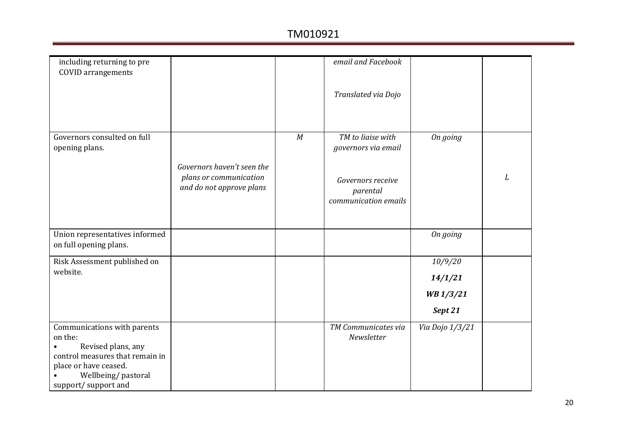| email and Facebook<br>including returning to pre                      |   |
|-----------------------------------------------------------------------|---|
| <b>COVID</b> arrangements                                             |   |
|                                                                       |   |
| Translated via Dojo                                                   |   |
|                                                                       |   |
|                                                                       |   |
|                                                                       |   |
|                                                                       |   |
| Governors consulted on full<br>TM to liaise with<br>M<br>On going     |   |
| opening plans.<br>governors via email                                 |   |
|                                                                       |   |
| Governors haven't seen the                                            |   |
| plans or communication<br>Governors receive                           | L |
| and do not approve plans<br>parental                                  |   |
| communication emails                                                  |   |
|                                                                       |   |
|                                                                       |   |
|                                                                       |   |
| Union representatives informed<br>On going                            |   |
| on full opening plans.                                                |   |
|                                                                       |   |
| 10/9/20<br>Risk Assessment published on<br>website.                   |   |
| 14/1/21                                                               |   |
| WB 1/3/21                                                             |   |
|                                                                       |   |
| Sept 21                                                               |   |
| TM Communicates via<br>Via Dojo 1/3/21<br>Communications with parents |   |
| on the:<br>Newsletter                                                 |   |
| Revised plans, any                                                    |   |
| control measures that remain in                                       |   |
| place or have ceased.                                                 |   |
| Wellbeing/pastoral                                                    |   |
| support/support and                                                   |   |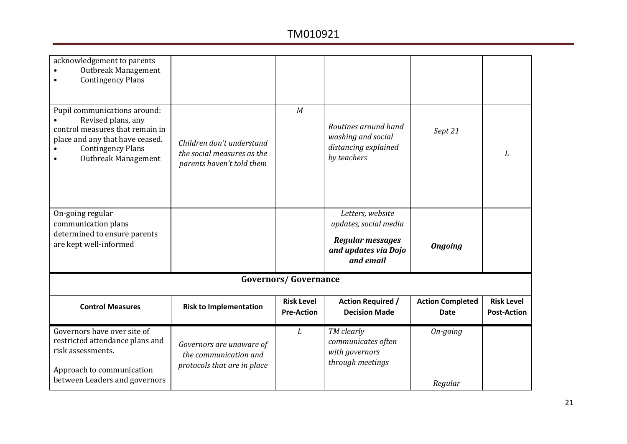| acknowledgement to parents<br>Outbreak Management<br><b>Contingency Plans</b>                                                                                               |                                                                                      |                                        |                                                                                                           |                                        |                                         |
|-----------------------------------------------------------------------------------------------------------------------------------------------------------------------------|--------------------------------------------------------------------------------------|----------------------------------------|-----------------------------------------------------------------------------------------------------------|----------------------------------------|-----------------------------------------|
| Pupil communications around:<br>Revised plans, any<br>control measures that remain in<br>place and any that have ceased.<br><b>Contingency Plans</b><br>Outbreak Management | Children don't understand<br>the social measures as the<br>parents haven't told them | M                                      | Routines around hand<br>washing and social<br>distancing explained<br>by teachers                         | Sept 21                                | L                                       |
| On-going regular<br>communication plans<br>determined to ensure parents<br>are kept well-informed                                                                           |                                                                                      |                                        | Letters, website<br>updates, social media<br><b>Regular messages</b><br>and updates via Dojo<br>and email | <b>Ongoing</b>                         |                                         |
|                                                                                                                                                                             |                                                                                      | <b>Governors/Governance</b>            |                                                                                                           |                                        |                                         |
| <b>Control Measures</b>                                                                                                                                                     | <b>Risk to Implementation</b>                                                        | <b>Risk Level</b><br><b>Pre-Action</b> | <b>Action Required /</b><br><b>Decision Made</b>                                                          | <b>Action Completed</b><br><b>Date</b> | <b>Risk Level</b><br><b>Post-Action</b> |
| Governors have over site of<br>restricted attendance plans and<br>risk assessments.<br>Approach to communication<br>between Leaders and governors                           | Governors are unaware of<br>the communication and<br>protocols that are in place     | L                                      | TM clearly<br>communicates often<br>with governors<br>through meetings                                    | On-going<br>Regular                    |                                         |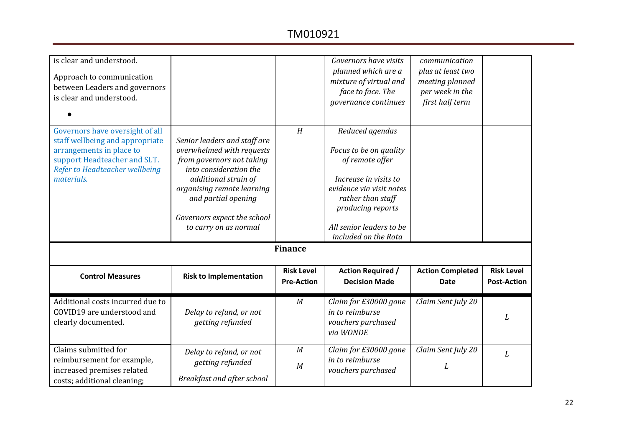| is clear and understood.<br>Approach to communication<br>between Leaders and governors<br>is clear and understood.                                                             |                                                                                                                                                                                                                                                       |                                        | Governors have visits<br>planned which are a<br>mixture of virtual and<br>face to face. The<br>governance continues                                                                                             | communication<br>plus at least two<br>meeting planned<br>per week in the<br>first half term |                                         |
|--------------------------------------------------------------------------------------------------------------------------------------------------------------------------------|-------------------------------------------------------------------------------------------------------------------------------------------------------------------------------------------------------------------------------------------------------|----------------------------------------|-----------------------------------------------------------------------------------------------------------------------------------------------------------------------------------------------------------------|---------------------------------------------------------------------------------------------|-----------------------------------------|
| Governors have oversight of all<br>staff wellbeing and appropriate<br>arrangements in place to<br>support Headteacher and SLT.<br>Refer to Headteacher wellbeing<br>materials. | Senior leaders and staff are<br>overwhelmed with requests<br>from governors not taking<br>into consideration the<br>additional strain of<br>organising remote learning<br>and partial opening<br>Governors expect the school<br>to carry on as normal | H                                      | Reduced agendas<br>Focus to be on quality<br>of remote offer<br>Increase in visits to<br>evidence via visit notes<br>rather than staff<br>producing reports<br>All senior leaders to be<br>included on the Rota |                                                                                             |                                         |
|                                                                                                                                                                                |                                                                                                                                                                                                                                                       | <b>Finance</b>                         |                                                                                                                                                                                                                 |                                                                                             |                                         |
| <b>Control Measures</b>                                                                                                                                                        | <b>Risk to Implementation</b>                                                                                                                                                                                                                         | <b>Risk Level</b><br><b>Pre-Action</b> | <b>Action Required /</b><br><b>Decision Made</b>                                                                                                                                                                | <b>Action Completed</b><br><b>Date</b>                                                      | <b>Risk Level</b><br><b>Post-Action</b> |
| Additional costs incurred due to<br>COVID19 are understood and<br>clearly documented.                                                                                          | Delay to refund, or not<br>getting refunded                                                                                                                                                                                                           | M                                      | Claim for £30000 gone<br>in to reimburse<br>vouchers purchased<br>via WONDE                                                                                                                                     | Claim Sent July 20                                                                          | L                                       |
| Claims submitted for<br>reimbursement for example,<br>increased premises related<br>costs; additional cleaning;                                                                | Delay to refund, or not<br>getting refunded<br>Breakfast and after school                                                                                                                                                                             | M<br>M                                 | Claim for £30000 gone<br>in to reimburse<br>vouchers purchased                                                                                                                                                  | Claim Sent July 20<br>L                                                                     | L                                       |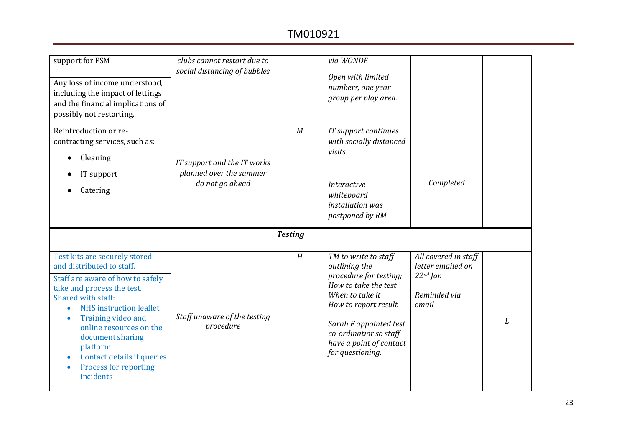| support for FSM<br>Any loss of income understood,<br>including the impact of lettings<br>and the financial implications of<br>possibly not restarting.                                                                                                                                                                                                        | clubs cannot restart due to<br>social distancing of bubbles               |                | via WONDE<br>Open with limited<br>numbers, one year<br>group per play area.                                                                                                                                                           |                                                                                  |   |
|---------------------------------------------------------------------------------------------------------------------------------------------------------------------------------------------------------------------------------------------------------------------------------------------------------------------------------------------------------------|---------------------------------------------------------------------------|----------------|---------------------------------------------------------------------------------------------------------------------------------------------------------------------------------------------------------------------------------------|----------------------------------------------------------------------------------|---|
| Reintroduction or re-<br>contracting services, such as:<br>Cleaning<br>IT support<br>Catering                                                                                                                                                                                                                                                                 | IT support and the IT works<br>planned over the summer<br>do not go ahead | M              | IT support continues<br>with socially distanced<br>visits<br><i>Interactive</i><br>whiteboard<br>installation was<br>postponed by RM                                                                                                  | Completed                                                                        |   |
|                                                                                                                                                                                                                                                                                                                                                               |                                                                           | <b>Testing</b> |                                                                                                                                                                                                                                       |                                                                                  |   |
| Test kits are securely stored<br>and distributed to staff.<br>Staff are aware of how to safely<br>take and process the test.<br>Shared with staff:<br><b>NHS</b> instruction leaflet<br>$\bullet$<br>Training video and<br>online resources on the<br>document sharing<br>platform<br>Contact details if queries<br><b>Process for reporting</b><br>incidents | Staff unaware of the testing<br>procedure                                 | H              | TM to write to staff<br>outlining the<br>procedure for testing;<br>How to take the test<br>When to take it<br>How to report result<br>Sarah F appointed test<br>co-ordinatior so staff<br>have a point of contact<br>for questioning. | All covered in staff<br>letter emailed on<br>$22nd$ Jan<br>Reminded via<br>email | L |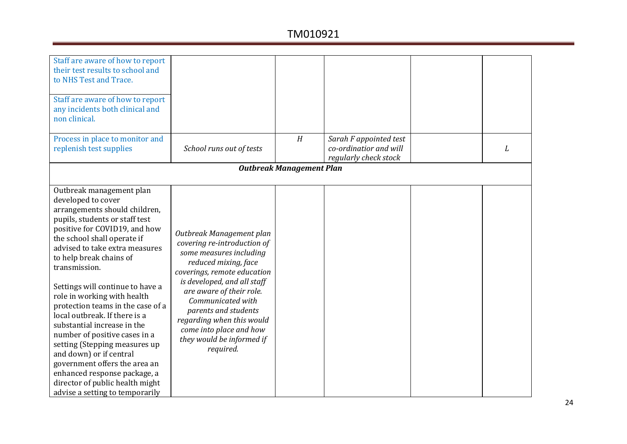| Staff are aware of how to report<br>their test results to school and<br>to NHS Test and Trace.<br>Staff are aware of how to report<br>any incidents both clinical and<br>non clinical.<br>Process in place to monitor and<br>replenish test supplies                                                                                                                                                                                                                                                                                                                                                                                                                        | School runs out of tests                                                                                                                                                                                                                                                                                                                            | H                               | Sarah F appointed test<br>co-ordinatior and will | L |
|-----------------------------------------------------------------------------------------------------------------------------------------------------------------------------------------------------------------------------------------------------------------------------------------------------------------------------------------------------------------------------------------------------------------------------------------------------------------------------------------------------------------------------------------------------------------------------------------------------------------------------------------------------------------------------|-----------------------------------------------------------------------------------------------------------------------------------------------------------------------------------------------------------------------------------------------------------------------------------------------------------------------------------------------------|---------------------------------|--------------------------------------------------|---|
|                                                                                                                                                                                                                                                                                                                                                                                                                                                                                                                                                                                                                                                                             |                                                                                                                                                                                                                                                                                                                                                     |                                 | regularly check stock                            |   |
|                                                                                                                                                                                                                                                                                                                                                                                                                                                                                                                                                                                                                                                                             |                                                                                                                                                                                                                                                                                                                                                     | <b>Outbreak Management Plan</b> |                                                  |   |
|                                                                                                                                                                                                                                                                                                                                                                                                                                                                                                                                                                                                                                                                             |                                                                                                                                                                                                                                                                                                                                                     |                                 |                                                  |   |
| Outbreak management plan<br>developed to cover<br>arrangements should children,<br>pupils, students or staff test<br>positive for COVID19, and how<br>the school shall operate if<br>advised to take extra measures<br>to help break chains of<br>transmission.<br>Settings will continue to have a<br>role in working with health<br>protection teams in the case of a<br>local outbreak. If there is a<br>substantial increase in the<br>number of positive cases in a<br>setting (Stepping measures up<br>and down) or if central<br>government offers the area an<br>enhanced response package, a<br>director of public health might<br>advise a setting to temporarily | Outbreak Management plan<br>covering re-introduction of<br>some measures including<br>reduced mixing, face<br>coverings, remote education<br>is developed, and all staff<br>are aware of their role.<br>Communicated with<br>parents and students<br>regarding when this would<br>come into place and how<br>they would be informed if<br>required. |                                 |                                                  |   |